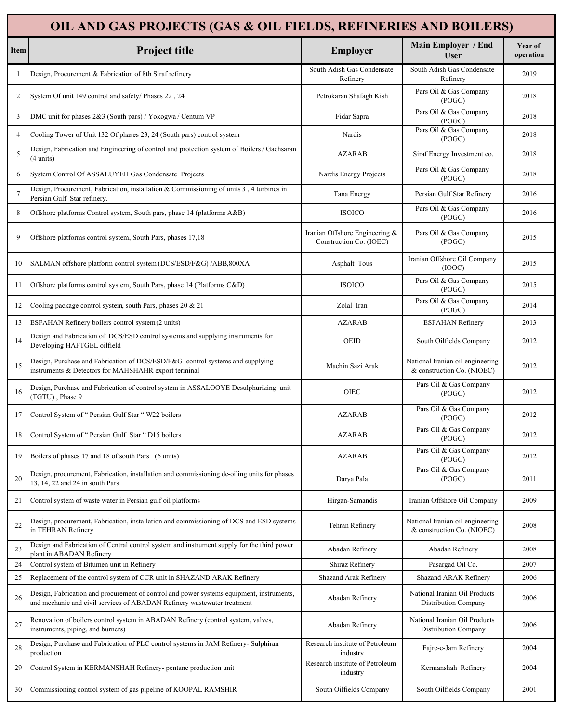|                | OIL AND GAS PROJECTS (GAS & OIL FIELDS, REFINERIES AND BOILERS)                                                                                                     |                                                           |                                                                |                      |  |  |
|----------------|---------------------------------------------------------------------------------------------------------------------------------------------------------------------|-----------------------------------------------------------|----------------------------------------------------------------|----------------------|--|--|
| Item           | Project title                                                                                                                                                       | Employer                                                  | Main Employer / End<br><b>User</b>                             | Year of<br>operation |  |  |
| 1              | Design, Procurement & Fabrication of 8th Siraf refinery                                                                                                             | South Adish Gas Condensate<br>Refinery                    | South Adish Gas Condensate<br>Refinery                         | 2019                 |  |  |
| 2              | System Of unit 149 control and safety/ Phases 22, 24                                                                                                                | Petrokaran Shafagh Kish                                   | Pars Oil & Gas Company<br>(POGC)                               | 2018                 |  |  |
| 3              | DMC unit for phases 2&3 (South pars) / Yokogwa / Centum VP                                                                                                          | Fidar Sapra                                               | Pars Oil & Gas Company<br>(POGC)                               | 2018                 |  |  |
| $\overline{4}$ | Cooling Tower of Unit 132 Of phases 23, 24 (South pars) control system                                                                                              | Nardis                                                    | Pars Oil & Gas Company<br>(POGC)                               | 2018                 |  |  |
| 5              | Design, Fabrication and Engineering of control and protection system of Boilers / Gachsaran<br>(4 units)                                                            | <b>AZARAB</b>                                             | Siraf Energy Investment co.                                    | 2018                 |  |  |
| 6              | System Control Of ASSALUYEH Gas Condensate Projects                                                                                                                 | Nardis Energy Projects                                    | Pars Oil & Gas Company<br>(POGC)                               | 2018                 |  |  |
| $\overline{7}$ | Design, Procurement, Fabrication, installation & Commissioning of units $3$ , $4$ turbines in<br>Persian Gulf Star refinery.                                        | Tana Energy                                               | Persian Gulf Star Refinery                                     | 2016                 |  |  |
| 8              | Offshore platforms Control system, South pars, phase 14 (platforms A&B)                                                                                             | <b>ISOICO</b>                                             | Pars Oil & Gas Company<br>(POGC)                               | 2016                 |  |  |
| 9              | Offshore platforms control system, South Pars, phases 17,18                                                                                                         | Iranian Offshore Engineering &<br>Construction Co. (IOEC) | Pars Oil & Gas Company<br>(POGC)                               | 2015                 |  |  |
| 10             | SALMAN offshore platform control system (DCS/ESD/F&G) /ABB,800XA                                                                                                    | Asphalt Tous                                              | Iranian Offshore Oil Company<br>(IOOC)                         | 2015                 |  |  |
| 11             | Offshore platforms control system, South Pars, phase 14 (Platforms C&D)                                                                                             | <b>ISOICO</b>                                             | Pars Oil & Gas Company<br>(POGC)                               | 2015                 |  |  |
| 12             | Cooling package control system, south Pars, phases 20 & 21                                                                                                          | Zolal Iran                                                | Pars Oil & Gas Company<br>(POGC)                               | 2014                 |  |  |
| 13             | ESFAHAN Refinery boilers control system (2 units)                                                                                                                   | <b>AZARAB</b>                                             | <b>ESFAHAN Refinery</b>                                        | 2013                 |  |  |
| 14             | Design and Fabrication of DCS/ESD control systems and supplying instruments for<br>Developing HAFTGEL oilfield                                                      | OEID                                                      | South Oilfields Company                                        | 2012                 |  |  |
| 15             | Design, Purchase and Fabrication of DCS/ESD/F&G control systems and supplying<br>instruments & Detectors for MAHSHAHR export terminal                               | Machin Sazi Arak                                          | National Iranian oil engineering<br>& construction Co. (NIOEC) | 2012                 |  |  |
| 16             | Design, Purchase and Fabrication of control system in ASSALOOYE Desulphurizing unit<br>(TGTU), Phase 9                                                              | <b>OIEC</b>                                               | Pars Oil & Gas Company<br>(POGC)                               | 2012                 |  |  |
| 17             | Control System of "Persian Gulf Star " W22 boilers                                                                                                                  | <b>AZARAB</b>                                             | Pars Oil & Gas Company<br>(POGC)                               | 2012                 |  |  |
| 18             | Control System of "Persian Gulf Star "D15 boilers                                                                                                                   | <b>AZARAB</b>                                             | Pars Oil & Gas Company<br>(POGC)                               | 2012                 |  |  |
| 19             | Boilers of phases 17 and 18 of south Pars (6 units)                                                                                                                 | <b>AZARAB</b>                                             | Pars Oil & Gas Company<br>(POGC)                               | 2012                 |  |  |
| 20             | Design, procurement, Fabrication, installation and commissioning de-oiling units for phases<br>13, 14, 22 and 24 in south Pars                                      | Darya Pala                                                | Pars Oil & Gas Company<br>(POGC)                               | 2011                 |  |  |
| 21             | Control system of waste water in Persian gulf oil platforms                                                                                                         | Hirgan-Samandis                                           | Iranian Offshore Oil Company                                   | 2009                 |  |  |
| 22             | Design, procurement, Fabrication, installation and commissioning of DCS and ESD systems<br>in TEHRAN Refinery                                                       | Tehran Refinery                                           | National Iranian oil engineering<br>& construction Co. (NIOEC) | 2008                 |  |  |
| 23             | Design and Fabrication of Central control system and instrument supply for the third power<br>plant in ABADAN Refinery                                              | Abadan Refinery                                           | Abadan Refinery                                                | 2008                 |  |  |
| 24             | Control system of Bitumen unit in Refinery                                                                                                                          | Shiraz Refinery                                           | Pasargad Oil Co.                                               | 2007                 |  |  |
| 25             | Replacement of the control system of CCR unit in SHAZAND ARAK Refinery                                                                                              | Shazand Arak Refinery                                     | Shazand ARAK Refinery                                          | 2006                 |  |  |
| 26             | Design, Fabrication and procurement of control and power systems equipment, instruments,<br>and mechanic and civil services of ABADAN Refinery wastewater treatment | Abadan Refinery                                           | National Iranian Oil Products<br>Distribution Company          | 2006                 |  |  |
| 27             | Renovation of boilers control system in ABADAN Refinery (control system, valves,<br>instruments, piping, and burners)                                               | Abadan Refinery                                           | National Iranian Oil Products<br>Distribution Company          | 2006                 |  |  |
| 28             | Design, Purchase and Fabrication of PLC control systems in JAM Refinery- Sulphiran<br>production                                                                    | Research institute of Petroleum<br>industry               | Fajre-e-Jam Refinery                                           | 2004                 |  |  |
| 29             | Control System in KERMANSHAH Refinery- pentane production unit                                                                                                      | Research institute of Petroleum<br>industry               | Kermanshah Refinery                                            | 2004                 |  |  |
| 30             | Commissioning control system of gas pipeline of KOOPAL RAMSHIR                                                                                                      | South Oilfields Company                                   | South Oilfields Company                                        | 2001                 |  |  |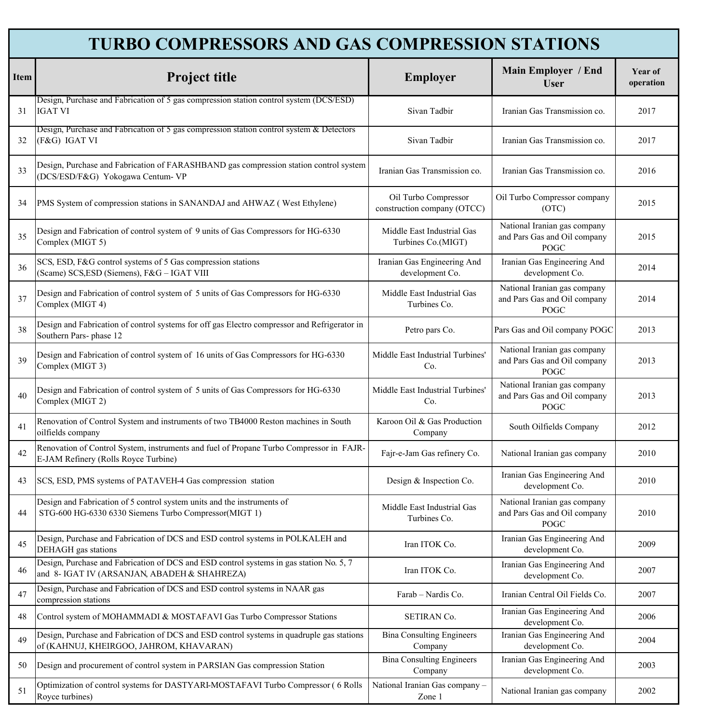|      | <b>TURBO COMPRESSORS AND GAS COMPRESSION STATIONS</b>                                                                                   |                                                     |                                                                      |                      |  |  |
|------|-----------------------------------------------------------------------------------------------------------------------------------------|-----------------------------------------------------|----------------------------------------------------------------------|----------------------|--|--|
| Item | Project title                                                                                                                           | Employer                                            | Main Employer / End<br><b>User</b>                                   | Year of<br>operation |  |  |
| 31   | Design, Purchase and Fabrication of 5 gas compression station control system (DCS/ESD)<br><b>IGAT VI</b>                                | Sivan Tadbir                                        | Iranian Gas Transmission co.                                         | 2017                 |  |  |
| 32   | Design, Purchase and Fabrication of 5 gas compression station control system & Detectors<br>(F&G) IGAT VI                               | Sivan Tadbir                                        | Iranian Gas Transmission co.                                         | 2017                 |  |  |
| 33   | Design, Purchase and Fabrication of FARASHBAND gas compression station control system<br>(DCS/ESD/F&G) Yokogawa Centum-VP               | Iranian Gas Transmission co.                        | Iranian Gas Transmission co.                                         | 2016                 |  |  |
| 34   | PMS System of compression stations in SANANDAJ and AHWAZ (West Ethylene)                                                                | Oil Turbo Compressor<br>construction company (OTCC) | Oil Turbo Compressor company<br>(OTC)                                | 2015                 |  |  |
| 35   | Design and Fabrication of control system of 9 units of Gas Compressors for HG-6330<br>Complex (MIGT 5)                                  | Middle East Industrial Gas<br>Turbines Co.(MIGT)    | National Iranian gas company<br>and Pars Gas and Oil company<br>POGC | 2015                 |  |  |
| 36   | SCS, ESD, F&G control systems of 5 Gas compression stations<br>(Scame) SCS, ESD (Siemens), F&G - IGAT VIII                              | Iranian Gas Engineering And<br>development Co.      | Iranian Gas Engineering And<br>development Co.                       | 2014                 |  |  |
| 37   | Design and Fabrication of control system of 5 units of Gas Compressors for HG-6330<br>Complex (MIGT 4)                                  | Middle East Industrial Gas<br>Turbines Co.          | National Iranian gas company<br>and Pars Gas and Oil company<br>POGC | 2014                 |  |  |
| 38   | Design and Fabrication of control systems for off gas Electro compressor and Refrigerator in<br>Southern Pars-phase 12                  | Petro pars Co.                                      | Pars Gas and Oil company POGC                                        | 2013                 |  |  |
| 39   | Design and Fabrication of control system of 16 units of Gas Compressors for HG-6330<br>Complex (MIGT 3)                                 | Middle East Industrial Turbines'<br>Co.             | National Iranian gas company<br>and Pars Gas and Oil company<br>POGC | 2013                 |  |  |
| 40   | Design and Fabrication of control system of 5 units of Gas Compressors for HG-6330<br>Complex (MIGT 2)                                  | Middle East Industrial Turbines'<br>Co.             | National Iranian gas company<br>and Pars Gas and Oil company<br>POGC | 2013                 |  |  |
| 41   | Renovation of Control System and instruments of two TB4000 Reston machines in South<br>oilfields company                                | Karoon Oil & Gas Production<br>Company              | South Oilfields Company                                              | 2012                 |  |  |
| 42   | Renovation of Control System, instruments and fuel of Propane Turbo Compressor in FAJR-<br>E-JAM Refinery (Rolls Royce Turbine)         | Fajr-e-Jam Gas refinery Co.                         | National Iranian gas company                                         | 2010                 |  |  |
| 43   | SCS, ESD, PMS systems of PATAVEH-4 Gas compression station                                                                              | Design & Inspection Co.                             | Iranian Gas Engineering And<br>development Co.                       | 2010                 |  |  |
| 44   | Design and Fabrication of 5 control system units and the instruments of<br>STG-600 HG-6330 6330 Siemens Turbo Compressor(MIGT 1)        | Middle East Industrial Gas<br>Turbines Co.          | National Iranian gas company<br>and Pars Gas and Oil company<br>POGC | 2010                 |  |  |
| 45   | Design, Purchase and Fabrication of DCS and ESD control systems in POLKALEH and<br>DEHAGH gas stations                                  | Iran ITOK Co.                                       | Iranian Gas Engineering And<br>development Co.                       | 2009                 |  |  |
| 46   | Design, Purchase and Fabrication of DCS and ESD control systems in gas station No. 5, 7<br>and 8- IGAT IV (ARSANJAN, ABADEH & SHAHREZA) | Iran ITOK Co.                                       | Iranian Gas Engineering And<br>development Co.                       | 2007                 |  |  |
| 47   | Design, Purchase and Fabrication of DCS and ESD control systems in NAAR gas<br>compression stations                                     | Farab - Nardis Co.                                  | Iranian Central Oil Fields Co.                                       | 2007                 |  |  |
| 48   | Control system of MOHAMMADI & MOSTAFAVI Gas Turbo Compressor Stations                                                                   | SETIRAN Co.                                         | Iranian Gas Engineering And<br>development Co.                       | 2006                 |  |  |
| 49   | Design, Purchase and Fabrication of DCS and ESD control systems in quadruple gas stations<br>of (KAHNUJ, KHEIRGOO, JAHROM, KHAVARAN)    | <b>Bina Consulting Engineers</b><br>Company         | Iranian Gas Engineering And<br>development Co.                       | 2004                 |  |  |
| 50   | Design and procurement of control system in PARSIAN Gas compression Station                                                             | <b>Bina Consulting Engineers</b><br>Company         | Iranian Gas Engineering And<br>development Co.                       | 2003                 |  |  |
| 51   | Optimization of control systems for DASTYARI-MOSTAFAVI Turbo Compressor (6 Rolls<br>Rovce turbines).                                    | National Iranian Gas company -<br>Zone 1            | National Iranian gas company                                         | 2002                 |  |  |